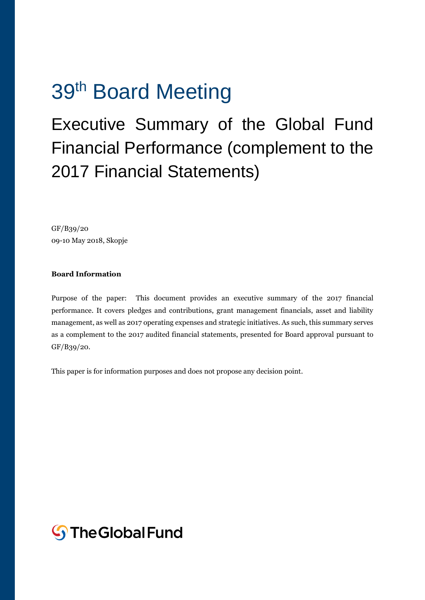# 39<sup>th</sup> Board Meeting

# Executive Summary of the Global Fund Financial Performance (complement to the 2017 Financial Statements)

GF/B39/20 09-10 May 2018, Skopje

#### **Board Information**

Purpose of the paper: This document provides an executive summary of the 2017 financial performance. It covers pledges and contributions, grant management financials, asset and liability management, as well as 2017 operating expenses and strategic initiatives. As such, this summary serves as a complement to the 2017 audited financial statements, presented for Board approval pursuant to GF/B39/20.

This paper is for information purposes and does not propose any decision point.

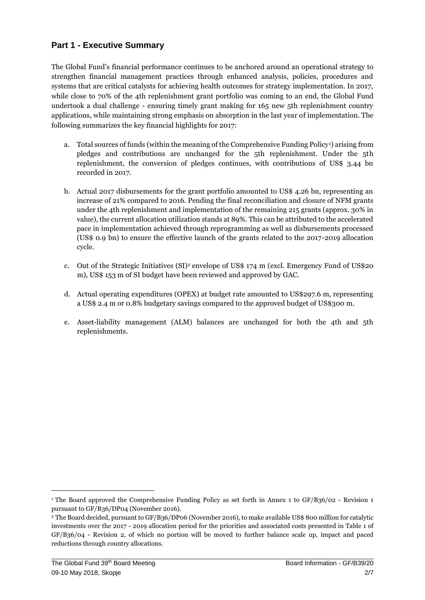### **Part 1 - Executive Summary**

The Global Fund's financial performance continues to be anchored around an operational strategy to strengthen financial management practices through enhanced analysis, policies, procedures and systems that are critical catalysts for achieving health outcomes for strategy implementation. In 2017, while close to 70% of the 4th replenishment grant portfolio was coming to an end, the Global Fund undertook a dual challenge - ensuring timely grant making for 165 new 5th replenishment country applications, while maintaining strong emphasis on absorption in the last year of implementation. The following summarizes the key financial highlights for 2017:

- a. Total sources of funds (within the meaning of the Comprehensive Funding Policy1) arising from pledges and contributions are unchanged for the 5th replenishment. Under the 5th replenishment, the conversion of pledges continues, with contributions of US\$ 3.44 bn recorded in 2017.
- b. Actual 2017 disbursements for the grant portfolio amounted to US\$ 4.26 bn, representing an increase of 21% compared to 2016. Pending the final reconciliation and closure of NFM grants under the 4th replenishment and implementation of the remaining 215 grants (approx. 30% in value), the current allocation utilization stands at 89%. This can be attributed to the accelerated pace in implementation achieved through reprogramming as well as disbursements processed (US\$ 0.9 bn) to ensure the effective launch of the grants related to the 2017-2019 allocation cycle.
- c. Out of the Strategic Initiatives  $(SI)^2$  envelope of US\$ 174 m (excl. Emergency Fund of US\$20 m), US\$ 153 m of SI budget have been reviewed and approved by GAC.
- d. Actual operating expenditures (OPEX) at budget rate amounted to US\$297.6 m, representing a US\$ 2.4 m or 0.8% budgetary savings compared to the approved budget of US\$300 m.
- e. Asset-liability management (ALM) balances are unchanged for both the 4th and 5th replenishments.

 $\overline{a}$ 

<sup>&</sup>lt;sup>1</sup> The Board approved the Comprehensive Funding Policy as set forth in Annex 1 to GF/B36/02 - Revision 1 pursuant to GF/B36/DP04 (November 2016).

<sup>&</sup>lt;sup>2</sup> The Board decided, pursuant to GF/B36/DP06 (November 2016), to make available US\$ 800 million for catalytic investments over the 2017 - 2019 allocation period for the priorities and associated costs presented in Table 1 of GF/B36/04 - Revision 2, of which no portion will be moved to further balance scale up, impact and paced reductions through country allocations.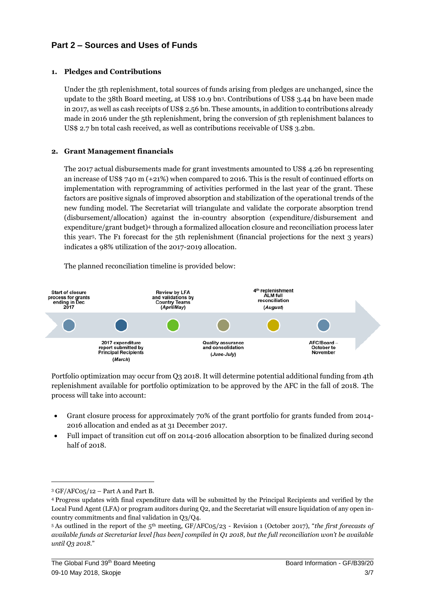# **Part 2 – Sources and Uses of Funds**

#### **1. Pledges and Contributions**

Under the 5th replenishment, total sources of funds arising from pledges are unchanged, since the update to the 38th Board meeting, at US\$ 10.9 bn3. Contributions of US\$ 3.44 bn have been made in 2017, as well as cash receipts of US\$ 2.56 bn. These amounts, in addition to contributions already made in 2016 under the 5th replenishment, bring the conversion of 5th replenishment balances to US\$ 2.7 bn total cash received, as well as contributions receivable of US\$ 3.2bn.

#### **2. Grant Management financials**

The 2017 actual disbursements made for grant investments amounted to US\$ 4.26 bn representing an increase of US\$ 740 m (+21%) when compared to 2016. This is the result of continued efforts on implementation with reprogramming of activities performed in the last year of the grant. These factors are positive signals of improved absorption and stabilization of the operational trends of the new funding model. The Secretariat will triangulate and validate the corporate absorption trend (disbursement/allocation) against the in-country absorption (expenditure/disbursement and expenditure/grant budget)<sup>4</sup> through a formalized allocation closure and reconciliation process later this year5. The F1 forecast for the 5th replenishment (financial projections for the next 3 years) indicates a 98% utilization of the 2017-2019 allocation.

The planned reconciliation timeline is provided below:



Portfolio optimization may occur from Q3 2018. It will determine potential additional funding from 4th replenishment available for portfolio optimization to be approved by the AFC in the fall of 2018. The process will take into account:

- Grant closure process for approximately 70% of the grant portfolio for grants funded from 2014- 2016 allocation and ended as at 31 December 2017.
- Full impact of transition cut off on 2014-2016 allocation absorption to be finalized during second half of 2018.

 $\overline{a}$ 

 $3$  GF/AFC05/12 – Part A and Part B.

<sup>4</sup> Progress updates with final expenditure data will be submitted by the Principal Recipients and verified by the Local Fund Agent (LFA) or program auditors during Q2, and the Secretariat will ensure liquidation of any open incountry commitments and final validation in Q3/Q4.

<sup>5</sup> As outlined in the report of the 5th meeting, GF/AFC05/23 - Revision 1 (October 2017), "*the first forecasts of available funds at Secretariat level [has been] compiled in Q1 2018, but the full reconciliation won't be available until Q3 2018*."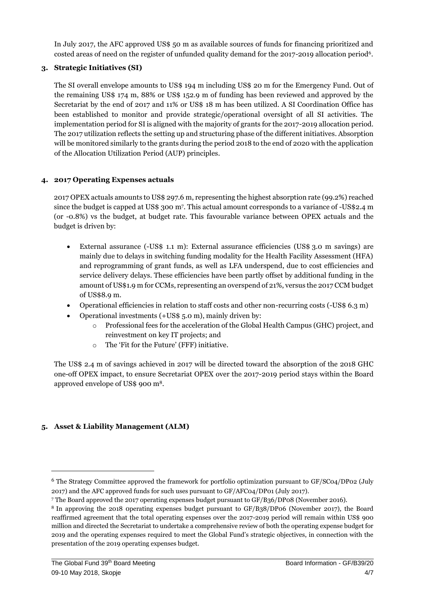In July 2017, the AFC approved US\$ 50 m as available sources of funds for financing prioritized and costed areas of need on the register of unfunded quality demand for the 2017-2019 allocation period6.

#### **3. Strategic Initiatives (SI)**

The SI overall envelope amounts to US\$ 194 m including US\$ 20 m for the Emergency Fund. Out of the remaining US\$ 174 m, 88% or US\$ 152.9 m of funding has been reviewed and approved by the Secretariat by the end of 2017 and 11% or US\$ 18 m has been utilized. A SI Coordination Office has been established to monitor and provide strategic/operational oversight of all SI activities. The implementation period for SI is aligned with the majority of grants for the 2017-2019 allocation period. The 2017 utilization reflects the setting up and structuring phase of the different initiatives. Absorption will be monitored similarly to the grants during the period 2018 to the end of 2020 with the application of the Allocation Utilization Period (AUP) principles.

#### **4. 2017 Operating Expenses actuals**

2017 OPEX actuals amounts to US\$ 297.6 m, representing the highest absorption rate (99.2%) reached since the budget is capped at US\$ 300 m<sup>7</sup> . This actual amount corresponds to a variance of -US\$2.4 m (or -0.8%) vs the budget, at budget rate. This favourable variance between OPEX actuals and the budget is driven by:

- External assurance (-US\$ 1.1 m): External assurance efficiencies (US\$ 3.0 m savings) are mainly due to delays in switching funding modality for the Health Facility Assessment (HFA) and reprogramming of grant funds, as well as LFA underspend, due to cost efficiencies and service delivery delays. These efficiencies have been partly offset by additional funding in the amount of US\$1.9 m for CCMs, representing an overspend of 21%, versus the 2017 CCM budget of US\$8.9 m.
- Operational efficiencies in relation to staff costs and other non-recurring costs (-US\$ 6.3 m)
- Operational investments (+US\$ 5.0 m), mainly driven by:
	- Professional fees for the acceleration of the Global Health Campus (GHC) project, and reinvestment on key IT projects; and
	- o The 'Fit for the Future' (FFF) initiative.

The US\$ 2.4 m of savings achieved in 2017 will be directed toward the absorption of the 2018 GHC one-off OPEX impact, to ensure Secretariat OPEX over the 2017-2019 period stays within the Board approved envelope of US\$ 900 m8.

#### **5. Asset & Liability Management (ALM)**

 $\overline{a}$ 

<sup>6</sup> The Strategy Committee approved the framework for portfolio optimization pursuant to GF/SC04/DP02 (July 2017) and the AFC approved funds for such uses pursuant to GF/AFC04/DP01 (July 2017).

<sup>7</sup> The Board approved the 2017 operating expenses budget pursuant to GF/B36/DP08 (November 2016).

<sup>8</sup> In approving the 2018 0perating expenses budget pursuant to GF/B38/DP06 (November 2017), the Board reaffirmed agreement that the total operating expenses over the 2017-2019 period will remain within US\$ 900 million and directed the Secretariat to undertake a comprehensive review of both the operating expense budget for 2019 and the operating expenses required to meet the Global Fund's strategic objectives, in connection with the presentation of the 2019 operating expenses budget.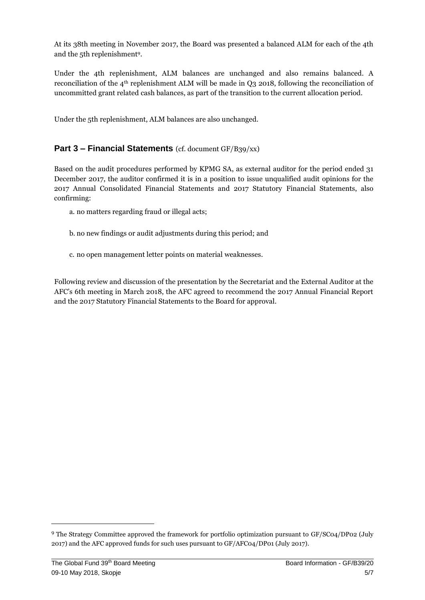At its 38th meeting in November 2017, the Board was presented a balanced ALM for each of the 4th and the 5th replenishment9.

Under the 4th replenishment, ALM balances are unchanged and also remains balanced. A reconciliation of the 4th replenishment ALM will be made in Q3 2018, following the reconciliation of uncommitted grant related cash balances, as part of the transition to the current allocation period.

Under the 5th replenishment, ALM balances are also unchanged.

#### **Part 3 – Financial Statements** (cf. document GF/B39/xx)

Based on the audit procedures performed by KPMG SA, as external auditor for the period ended 31 December 2017, the auditor confirmed it is in a position to issue unqualified audit opinions for the 2017 Annual Consolidated Financial Statements and 2017 Statutory Financial Statements, also confirming:

- a. no matters regarding fraud or illegal acts;
- b. no new findings or audit adjustments during this period; and
- c. no open management letter points on material weaknesses.

Following review and discussion of the presentation by the Secretariat and the External Auditor at the AFC's 6th meeting in March 2018, the AFC agreed to recommend the 2017 Annual Financial Report and the 2017 Statutory Financial Statements to the Board for approval.

**.** 

<sup>9</sup> The Strategy Committee approved the framework for portfolio optimization pursuant to GF/SC04/DP02 (July 2017) and the AFC approved funds for such uses pursuant to GF/AFC04/DP01 (July 2017).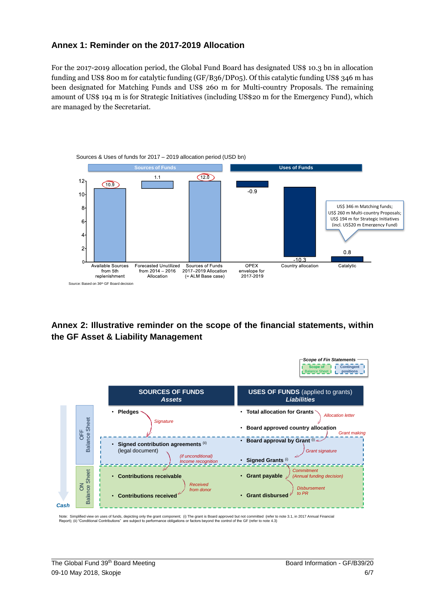#### **Annex 1: Reminder on the 2017-2019 Allocation**

For the 2017-2019 allocation period, the Global Fund Board has designated US\$ 10.3 bn in allocation funding and US\$ 800 m for catalytic funding (GF/B36/DP05). Of this catalytic funding US\$ 346 m has been designated for Matching Funds and US\$ 260 m for Multi-country Proposals. The remaining amount of US\$ 194 m is for Strategic Initiatives (including US\$20 m for the Emergency Fund), which are managed by the Secretariat.



# **Annex 2: Illustrative reminder on the scope of the financial statements, within the GF Asset & Liability Management**



Note: Simplified view on uses of funds, depicting only the grant component; (i) The grant is Board approved but not committed (refer to note 3.1, in 2017 Annual Financial<br>Report); (ii) "Conditional Contributions" are subje